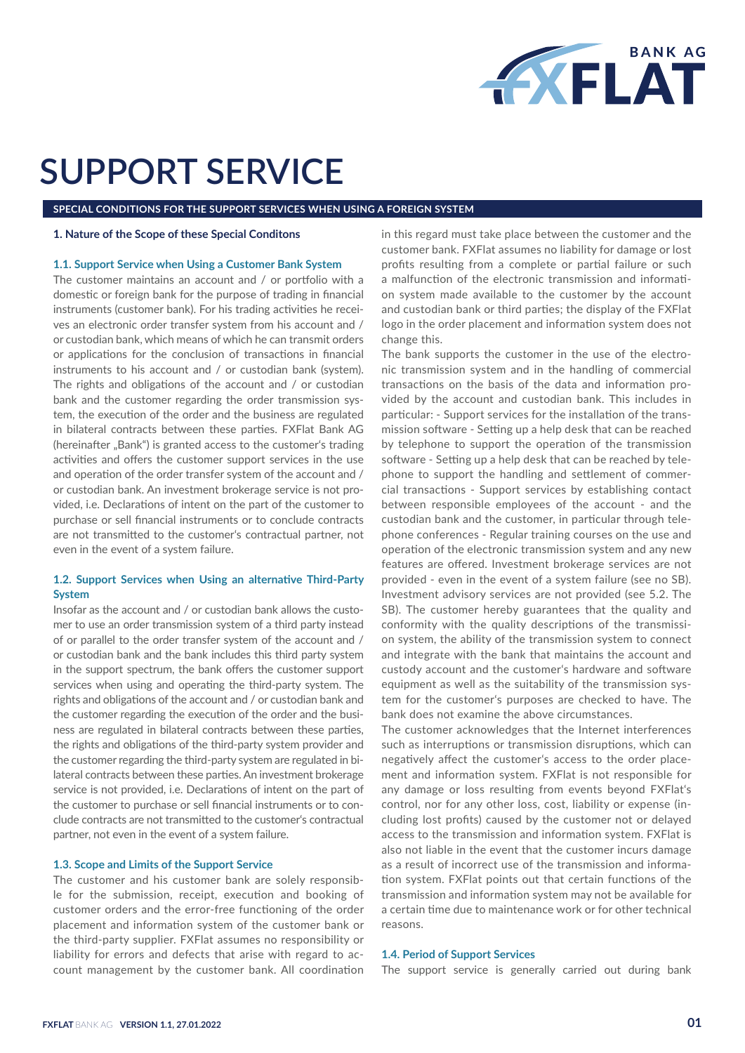

# **SUPPORT SERVICE**

**SPECIAL CONDITIONS FOR THE SUPPORT SERVICES WHEN USING A FOREIGN SYSTEM**

#### **1. Nature of the Scope of these Special Conditons**

## **1.1. Support Service when Using a Customer Bank System**

The customer maintains an account and / or portfolio with a domestic or foreign bank for the purpose of trading in financial instruments (customer bank). For his trading activities he receives an electronic order transfer system from his account and / or custodian bank, which means of which he can transmit orders or applications for the conclusion of transactions in financial instruments to his account and / or custodian bank (system). The rights and obligations of the account and / or custodian bank and the customer regarding the order transmission system, the execution of the order and the business are regulated in bilateral contracts between these parties. FXFlat Bank AG (hereinafter "Bank") is granted access to the customer's trading activities and offers the customer support services in the use and operation of the order transfer system of the account and / or custodian bank. An investment brokerage service is not provided, i.e. Declarations of intent on the part of the customer to purchase or sell financial instruments or to conclude contracts are not transmitted to the customer's contractual partner, not even in the event of a system failure.

# **1.2. Support Services when Using an alternative Third-Party System**

Insofar as the account and / or custodian bank allows the customer to use an order transmission system of a third party instead of or parallel to the order transfer system of the account and / or custodian bank and the bank includes this third party system in the support spectrum, the bank offers the customer support services when using and operating the third-party system. The rights and obligations of the account and / or custodian bank and the customer regarding the execution of the order and the business are regulated in bilateral contracts between these parties, the rights and obligations of the third-party system provider and the customer regarding the third-party system are regulated in bilateral contracts between these parties. An investment brokerage service is not provided, i.e. Declarations of intent on the part of the customer to purchase or sell financial instruments or to conclude contracts are not transmitted to the customer's contractual partner, not even in the event of a system failure.

#### **1.3. Scope and Limits of the Support Service**

The customer and his customer bank are solely responsible for the submission, receipt, execution and booking of customer orders and the error-free functioning of the order placement and information system of the customer bank or the third-party supplier. FXFlat assumes no responsibility or liability for errors and defects that arise with regard to account management by the customer bank. All coordination

in this regard must take place between the customer and the customer bank. FXFlat assumes no liability for damage or lost profits resulting from a complete or partial failure or such a malfunction of the electronic transmission and information system made available to the customer by the account and custodian bank or third parties; the display of the FXFlat logo in the order placement and information system does not change this.

The bank supports the customer in the use of the electronic transmission system and in the handling of commercial transactions on the basis of the data and information provided by the account and custodian bank. This includes in particular: - Support services for the installation of the transmission software - Setting up a help desk that can be reached by telephone to support the operation of the transmission software - Setting up a help desk that can be reached by telephone to support the handling and settlement of commercial transactions - Support services by establishing contact between responsible employees of the account - and the custodian bank and the customer, in particular through telephone conferences - Regular training courses on the use and operation of the electronic transmission system and any new features are offered. Investment brokerage services are not provided - even in the event of a system failure (see no SB). Investment advisory services are not provided (see 5.2. The SB). The customer hereby guarantees that the quality and conformity with the quality descriptions of the transmission system, the ability of the transmission system to connect and integrate with the bank that maintains the account and custody account and the customer's hardware and software equipment as well as the suitability of the transmission system for the customer's purposes are checked to have. The bank does not examine the above circumstances.

The customer acknowledges that the Internet interferences such as interruptions or transmission disruptions, which can negatively affect the customer's access to the order placement and information system. FXFlat is not responsible for any damage or loss resulting from events beyond FXFlat's control, nor for any other loss, cost, liability or expense (including lost profits) caused by the customer not or delayed access to the transmission and information system. FXFlat is also not liable in the event that the customer incurs damage as a result of incorrect use of the transmission and information system. FXFlat points out that certain functions of the transmission and information system may not be available for a certain time due to maintenance work or for other technical reasons.

#### **1.4. Period of Support Services**

The support service is generally carried out during bank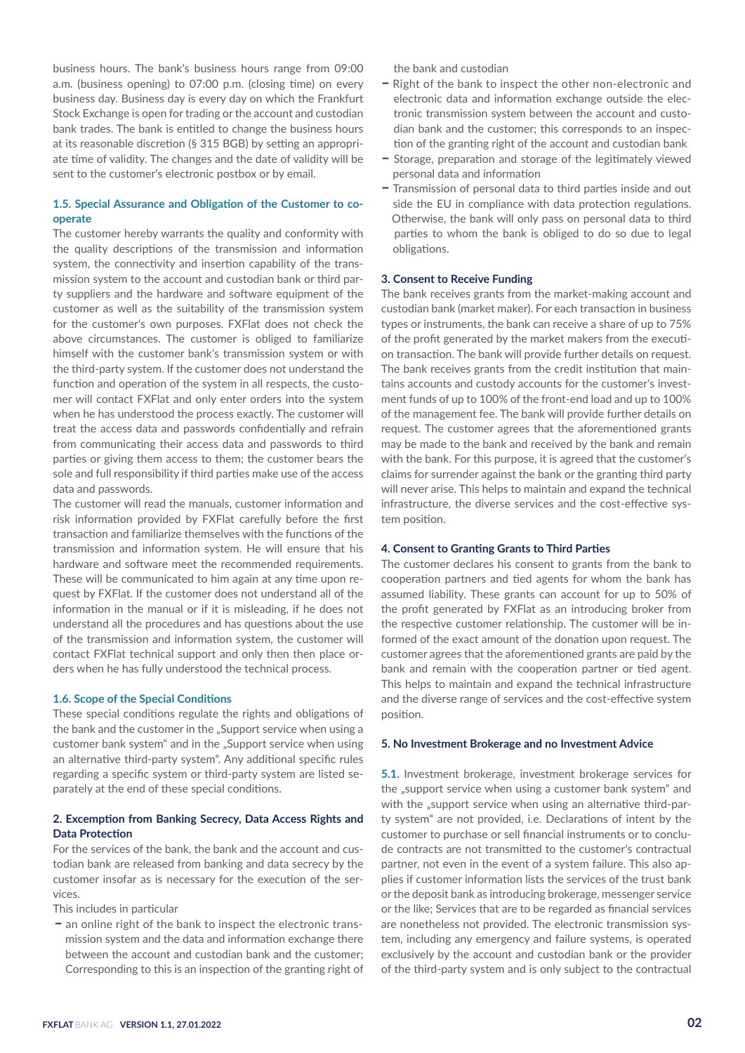business hours. The bank's business hours range from 09:00 a.m. (business opening) to 07:00 p.m. (closing time) on every business day. Business day is every day on which the Frankfurt Stock Exchange is open for trading or the account and custodian bank trades. The bank is entitled to change the business hours at its reasonable discretion (§ 315 BGB) by setting an appropriate time of validity. The changes and the date of validity will be sent to the customer's electronic postbox or by email.

# **1.5. Special Assurance and Obligation of the Customer to cooperate**

The customer hereby warrants the quality and conformity with the quality descriptions of the transmission and information system, the connectivity and insertion capability of the transmission system to the account and custodian bank or third party suppliers and the hardware and software equipment of the customer as well as the suitability of the transmission system for the customer's own purposes. FXFlat does not check the above circumstances. The customer is obliged to familiarize himself with the customer bank's transmission system or with the third-party system. If the customer does not understand the function and operation of the system in all respects, the customer will contact FXFlat and only enter orders into the system when he has understood the process exactly. The customer will treat the access data and passwords confidentially and refrain from communicating their access data and passwords to third parties or giving them access to them; the customer bears the sole and full responsibility if third parties make use of the access data and passwords.

The customer will read the manuals, customer information and risk information provided by FXFlat carefully before the first transaction and familiarize themselves with the functions of the transmission and information system. He will ensure that his hardware and software meet the recommended requirements. These will be communicated to him again at any time upon request by FXFlat. If the customer does not understand all of the information in the manual or if it is misleading, if he does not understand all the procedures and has questions about the use of the transmission and information system, the customer will contact FXFlat technical support and only then then place orders when he has fully understood the technical process.

## **1.6. Scope of the Special Conditions**

These special conditions regulate the rights and obligations of the bank and the customer in the "Support service when using a customer bank system" and in the "Support service when using an alternative third-party system". Any additional specific rules regarding a specific system or third-party system are listed separately at the end of these special conditions.

# **2. Excemption from Banking Secrecy, Data Access Rights and Data Protection**

For the services of the bank, the bank and the account and custodian bank are released from banking and data secrecy by the customer insofar as is necessary for the execution of the services.

This includes in particular

**–** an online right of the bank to inspect the electronic transmission system and the data and information exchange there between the account and custodian bank and the customer; Corresponding to this is an inspection of the granting right of the bank and custodian

- **–** Right of the bank to inspect the other non-electronic and electronic data and information exchange outside the electronic transmission system between the account and custodian bank and the customer; this corresponds to an inspection of the granting right of the account and custodian bank
- **–** Storage, preparation and storage of the legitimately viewed personal data and information
- **–** Transmission of personal data to third parties inside and out side the EU in compliance with data protection regulations. Otherwise, the bank will only pass on personal data to third parties to whom the bank is obliged to do so due to legal obligations.

## **3. Consent to Receive Funding**

The bank receives grants from the market-making account and custodian bank (market maker). For each transaction in business types or instruments, the bank can receive a share of up to 75% of the profit generated by the market makers from the execution transaction. The bank will provide further details on request. The bank receives grants from the credit institution that maintains accounts and custody accounts for the customer's investment funds of up to 100% of the front-end load and up to 100% of the management fee. The bank will provide further details on request. The customer agrees that the aforementioned grants may be made to the bank and received by the bank and remain with the bank. For this purpose, it is agreed that the customer's claims for surrender against the bank or the granting third party will never arise. This helps to maintain and expand the technical infrastructure, the diverse services and the cost-effective system position.

## **4. Consent to Granting Grants to Third Parties**

The customer declares his consent to grants from the bank to cooperation partners and tied agents for whom the bank has assumed liability. These grants can account for up to 50% of the profit generated by FXFlat as an introducing broker from the respective customer relationship. The customer will be informed of the exact amount of the donation upon request. The customer agrees that the aforementioned grants are paid by the bank and remain with the cooperation partner or tied agent. This helps to maintain and expand the technical infrastructure and the diverse range of services and the cost-effective system position.

#### **5. No Investment Brokerage and no Investment Advice**

**5.1.** Investment brokerage, investment brokerage services for the "support service when using a customer bank system" and with the "support service when using an alternative third-party system" are not provided, i.e. Declarations of intent by the customer to purchase or sell financial instruments or to conclude contracts are not transmitted to the customer's contractual partner, not even in the event of a system failure. This also applies if customer information lists the services of the trust bank or the deposit bank as introducing brokerage, messenger service or the like; Services that are to be regarded as financial services are nonetheless not provided. The electronic transmission system, including any emergency and failure systems, is operated exclusively by the account and custodian bank or the provider of the third-party system and is only subject to the contractual